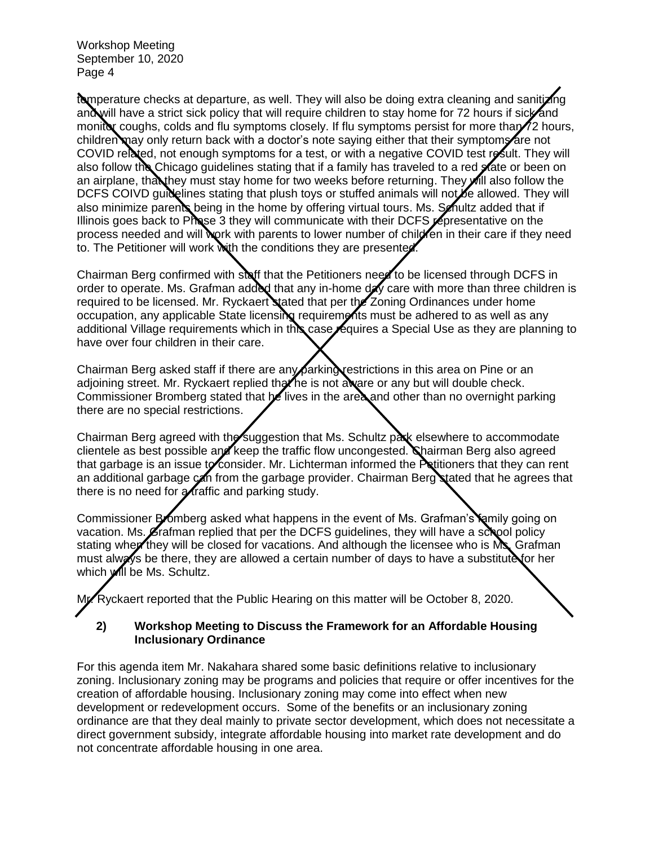temperature checks at departure, as well. They will also be doing extra cleaning and sanitizing and will have a strict sick policy that will require children to stay home for 72 hours if sick and monitor coughs, colds and flu symptoms closely. If flu symptoms persist for more than  $\ell$  hours, children may only return back with a doctor's note saying either that their symptoms are not COVID related, not enough symptoms for a test, or with a negative COVID test result. They will also follow the Chicago guidelines stating that if a family has traveled to a red state or been on an airplane, that they must stay home for two weeks before returning. They **will also follow the** DCFS COIVD guidelines stating that plush toys or stuffed animals will not be allowed. They will also minimize parents being in the home by offering virtual tours. Ms. Senultz added that if Illinois goes back to Phase 3 they will communicate with their DCFS representative on the process needed and will work with parents to lower number of child fen in their care if they need to. The Petitioner will work with the conditions they are presented.

Chairman Berg confirmed with staff that the Petitioners need to be licensed through DCFS in order to operate. Ms. Grafman added that any in-home day care with more than three children is required to be licensed. Mr. Ryckaert stated that per the Zoning Ordinances under home occupation, any applicable State licensing requirements must be adhered to as well as any additional Village requirements which in this case requires a Special Use as they are planning to have over four children in their care.

Chairman Berg asked staff if there are any parking restrictions in this area on Pine or an adjoining street. Mr. Ryckaert replied that he is not aware or any but will double check. Commissioner Bromberg stated that he lives in the area and other than no overnight parking there are no special restrictions.

Chairman Berg agreed with the suggestion that Ms. Schultz park elsewhere to accommodate clientele as best possible and keep the traffic flow uncongested. Chairman Berg also agreed that garbage is an issue to consider. Mr. Lichterman informed the Petitioners that they can rent an additional garbage can from the garbage provider. Chairman Berg stated that he agrees that there is no need for  $\alpha$  raffic and parking study.

Commissioner Bromberg asked what happens in the event of Ms. Grafman's family going on vacation. Ms. Grafman replied that per the DCFS guidelines, they will have a school policy stating when they will be closed for vacations. And although the licensee who is Ms. Grafman must always be there, they are allowed a certain number of days to have a substitute for her which will be Ms. Schultz.

My. Ryckaert reported that the Public Hearing on this matter will be October 8, 2020.

## **2) Workshop Meeting to Discuss the Framework for an Affordable Housing Inclusionary Ordinance**

For this agenda item Mr. Nakahara shared some basic definitions relative to inclusionary zoning. Inclusionary zoning may be programs and policies that require or offer incentives for the creation of affordable housing. Inclusionary zoning may come into effect when new development or redevelopment occurs. Some of the benefits or an inclusionary zoning ordinance are that they deal mainly to private sector development, which does not necessitate a direct government subsidy, integrate affordable housing into market rate development and do not concentrate affordable housing in one area.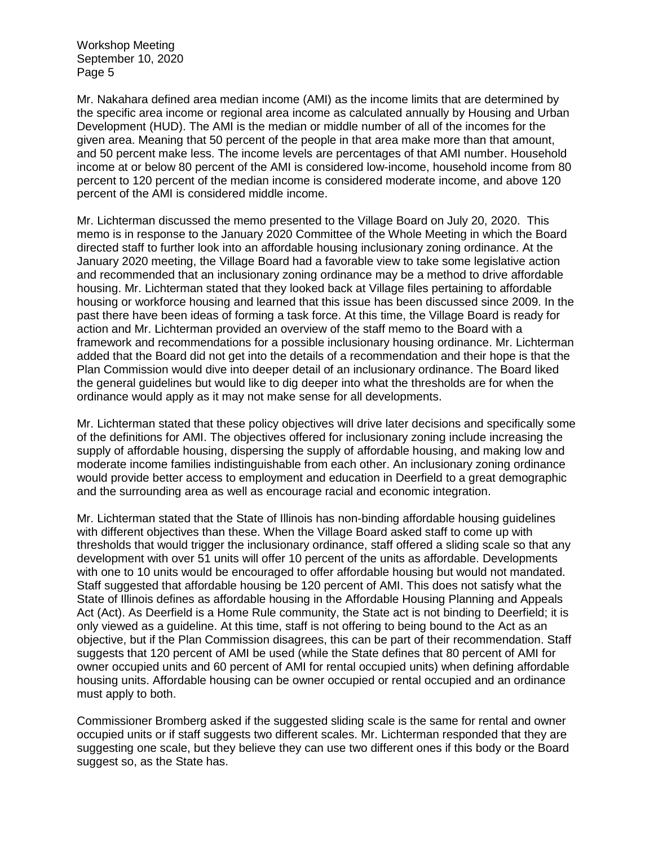Mr. Nakahara defined area median income (AMI) as the income limits that are determined by the specific area income or regional area income as calculated annually by Housing and Urban Development (HUD). The AMI is the median or middle number of all of the incomes for the given area. Meaning that 50 percent of the people in that area make more than that amount, and 50 percent make less. The income levels are percentages of that AMI number. Household income at or below 80 percent of the AMI is considered low-income, household income from 80 percent to 120 percent of the median income is considered moderate income, and above 120 percent of the AMI is considered middle income.

Mr. Lichterman discussed the memo presented to the Village Board on July 20, 2020. This memo is in response to the January 2020 Committee of the Whole Meeting in which the Board directed staff to further look into an affordable housing inclusionary zoning ordinance. At the January 2020 meeting, the Village Board had a favorable view to take some legislative action and recommended that an inclusionary zoning ordinance may be a method to drive affordable housing. Mr. Lichterman stated that they looked back at Village files pertaining to affordable housing or workforce housing and learned that this issue has been discussed since 2009. In the past there have been ideas of forming a task force. At this time, the Village Board is ready for action and Mr. Lichterman provided an overview of the staff memo to the Board with a framework and recommendations for a possible inclusionary housing ordinance. Mr. Lichterman added that the Board did not get into the details of a recommendation and their hope is that the Plan Commission would dive into deeper detail of an inclusionary ordinance. The Board liked the general guidelines but would like to dig deeper into what the thresholds are for when the ordinance would apply as it may not make sense for all developments.

Mr. Lichterman stated that these policy objectives will drive later decisions and specifically some of the definitions for AMI. The objectives offered for inclusionary zoning include increasing the supply of affordable housing, dispersing the supply of affordable housing, and making low and moderate income families indistinguishable from each other. An inclusionary zoning ordinance would provide better access to employment and education in Deerfield to a great demographic and the surrounding area as well as encourage racial and economic integration.

Mr. Lichterman stated that the State of Illinois has non-binding affordable housing guidelines with different objectives than these. When the Village Board asked staff to come up with thresholds that would trigger the inclusionary ordinance, staff offered a sliding scale so that any development with over 51 units will offer 10 percent of the units as affordable. Developments with one to 10 units would be encouraged to offer affordable housing but would not mandated. Staff suggested that affordable housing be 120 percent of AMI. This does not satisfy what the State of Illinois defines as affordable housing in the Affordable Housing Planning and Appeals Act (Act). As Deerfield is a Home Rule community, the State act is not binding to Deerfield; it is only viewed as a guideline. At this time, staff is not offering to being bound to the Act as an objective, but if the Plan Commission disagrees, this can be part of their recommendation. Staff suggests that 120 percent of AMI be used (while the State defines that 80 percent of AMI for owner occupied units and 60 percent of AMI for rental occupied units) when defining affordable housing units. Affordable housing can be owner occupied or rental occupied and an ordinance must apply to both.

Commissioner Bromberg asked if the suggested sliding scale is the same for rental and owner occupied units or if staff suggests two different scales. Mr. Lichterman responded that they are suggesting one scale, but they believe they can use two different ones if this body or the Board suggest so, as the State has.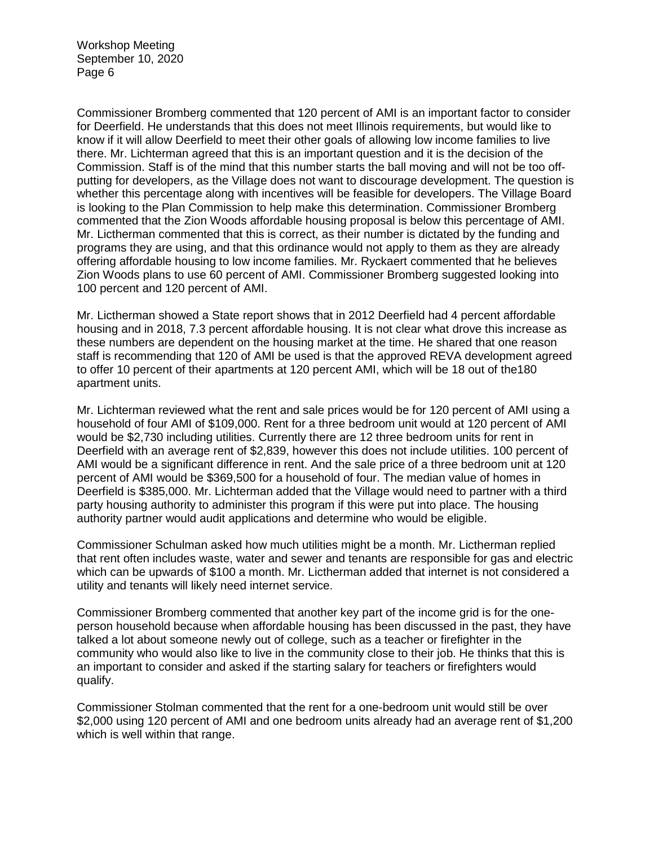Commissioner Bromberg commented that 120 percent of AMI is an important factor to consider for Deerfield. He understands that this does not meet Illinois requirements, but would like to know if it will allow Deerfield to meet their other goals of allowing low income families to live there. Mr. Lichterman agreed that this is an important question and it is the decision of the Commission. Staff is of the mind that this number starts the ball moving and will not be too offputting for developers, as the Village does not want to discourage development. The question is whether this percentage along with incentives will be feasible for developers. The Village Board is looking to the Plan Commission to help make this determination. Commissioner Bromberg commented that the Zion Woods affordable housing proposal is below this percentage of AMI. Mr. Lictherman commented that this is correct, as their number is dictated by the funding and programs they are using, and that this ordinance would not apply to them as they are already offering affordable housing to low income families. Mr. Ryckaert commented that he believes Zion Woods plans to use 60 percent of AMI. Commissioner Bromberg suggested looking into 100 percent and 120 percent of AMI.

Mr. Lictherman showed a State report shows that in 2012 Deerfield had 4 percent affordable housing and in 2018, 7.3 percent affordable housing. It is not clear what drove this increase as these numbers are dependent on the housing market at the time. He shared that one reason staff is recommending that 120 of AMI be used is that the approved REVA development agreed to offer 10 percent of their apartments at 120 percent AMI, which will be 18 out of the180 apartment units.

Mr. Lichterman reviewed what the rent and sale prices would be for 120 percent of AMI using a household of four AMI of \$109,000. Rent for a three bedroom unit would at 120 percent of AMI would be \$2,730 including utilities. Currently there are 12 three bedroom units for rent in Deerfield with an average rent of \$2,839, however this does not include utilities. 100 percent of AMI would be a significant difference in rent. And the sale price of a three bedroom unit at 120 percent of AMI would be \$369,500 for a household of four. The median value of homes in Deerfield is \$385,000. Mr. Lichterman added that the Village would need to partner with a third party housing authority to administer this program if this were put into place. The housing authority partner would audit applications and determine who would be eligible.

Commissioner Schulman asked how much utilities might be a month. Mr. Lictherman replied that rent often includes waste, water and sewer and tenants are responsible for gas and electric which can be upwards of \$100 a month. Mr. Lictherman added that internet is not considered a utility and tenants will likely need internet service.

Commissioner Bromberg commented that another key part of the income grid is for the oneperson household because when affordable housing has been discussed in the past, they have talked a lot about someone newly out of college, such as a teacher or firefighter in the community who would also like to live in the community close to their job. He thinks that this is an important to consider and asked if the starting salary for teachers or firefighters would qualify.

Commissioner Stolman commented that the rent for a one-bedroom unit would still be over \$2,000 using 120 percent of AMI and one bedroom units already had an average rent of \$1,200 which is well within that range.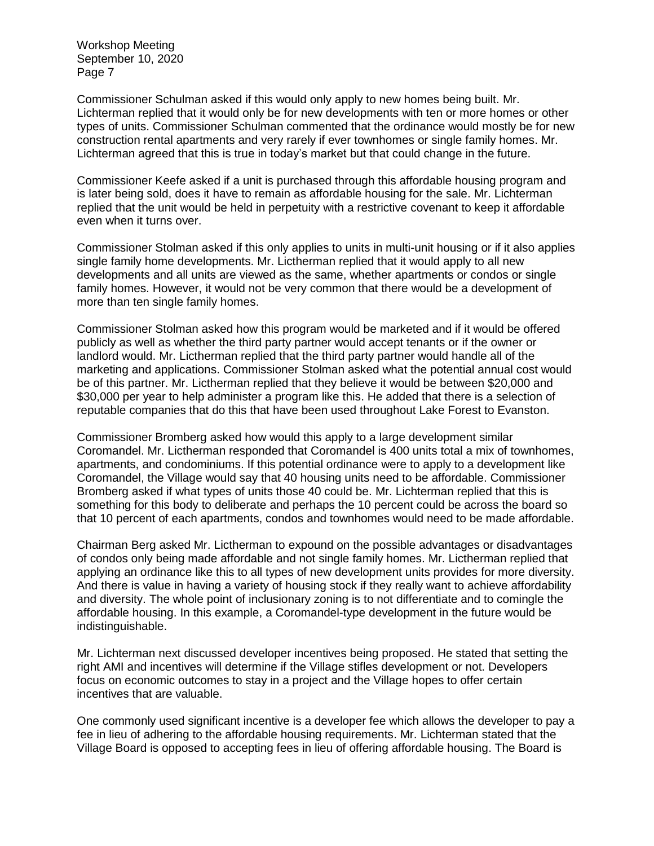Commissioner Schulman asked if this would only apply to new homes being built. Mr. Lichterman replied that it would only be for new developments with ten or more homes or other types of units. Commissioner Schulman commented that the ordinance would mostly be for new construction rental apartments and very rarely if ever townhomes or single family homes. Mr. Lichterman agreed that this is true in today's market but that could change in the future.

Commissioner Keefe asked if a unit is purchased through this affordable housing program and is later being sold, does it have to remain as affordable housing for the sale. Mr. Lichterman replied that the unit would be held in perpetuity with a restrictive covenant to keep it affordable even when it turns over.

Commissioner Stolman asked if this only applies to units in multi-unit housing or if it also applies single family home developments. Mr. Lictherman replied that it would apply to all new developments and all units are viewed as the same, whether apartments or condos or single family homes. However, it would not be very common that there would be a development of more than ten single family homes.

Commissioner Stolman asked how this program would be marketed and if it would be offered publicly as well as whether the third party partner would accept tenants or if the owner or landlord would. Mr. Lictherman replied that the third party partner would handle all of the marketing and applications. Commissioner Stolman asked what the potential annual cost would be of this partner. Mr. Lictherman replied that they believe it would be between \$20,000 and \$30,000 per year to help administer a program like this. He added that there is a selection of reputable companies that do this that have been used throughout Lake Forest to Evanston.

Commissioner Bromberg asked how would this apply to a large development similar Coromandel. Mr. Lictherman responded that Coromandel is 400 units total a mix of townhomes, apartments, and condominiums. If this potential ordinance were to apply to a development like Coromandel, the Village would say that 40 housing units need to be affordable. Commissioner Bromberg asked if what types of units those 40 could be. Mr. Lichterman replied that this is something for this body to deliberate and perhaps the 10 percent could be across the board so that 10 percent of each apartments, condos and townhomes would need to be made affordable.

Chairman Berg asked Mr. Lictherman to expound on the possible advantages or disadvantages of condos only being made affordable and not single family homes. Mr. Lictherman replied that applying an ordinance like this to all types of new development units provides for more diversity. And there is value in having a variety of housing stock if they really want to achieve affordability and diversity. The whole point of inclusionary zoning is to not differentiate and to comingle the affordable housing. In this example, a Coromandel-type development in the future would be indistinguishable.

Mr. Lichterman next discussed developer incentives being proposed. He stated that setting the right AMI and incentives will determine if the Village stifles development or not. Developers focus on economic outcomes to stay in a project and the Village hopes to offer certain incentives that are valuable.

One commonly used significant incentive is a developer fee which allows the developer to pay a fee in lieu of adhering to the affordable housing requirements. Mr. Lichterman stated that the Village Board is opposed to accepting fees in lieu of offering affordable housing. The Board is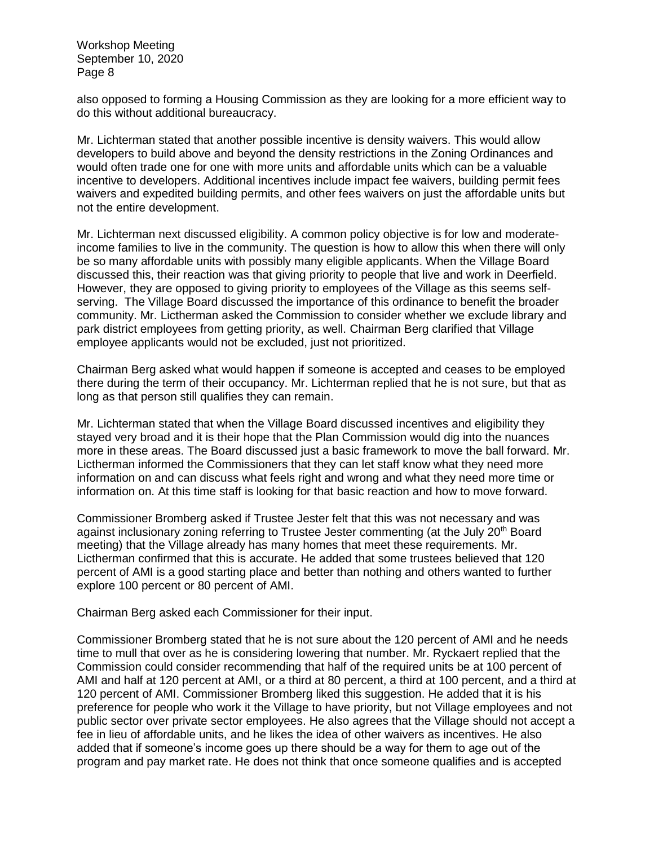also opposed to forming a Housing Commission as they are looking for a more efficient way to do this without additional bureaucracy.

Mr. Lichterman stated that another possible incentive is density waivers. This would allow developers to build above and beyond the density restrictions in the Zoning Ordinances and would often trade one for one with more units and affordable units which can be a valuable incentive to developers. Additional incentives include impact fee waivers, building permit fees waivers and expedited building permits, and other fees waivers on just the affordable units but not the entire development.

Mr. Lichterman next discussed eligibility. A common policy objective is for low and moderateincome families to live in the community. The question is how to allow this when there will only be so many affordable units with possibly many eligible applicants. When the Village Board discussed this, their reaction was that giving priority to people that live and work in Deerfield. However, they are opposed to giving priority to employees of the Village as this seems selfserving. The Village Board discussed the importance of this ordinance to benefit the broader community. Mr. Lictherman asked the Commission to consider whether we exclude library and park district employees from getting priority, as well. Chairman Berg clarified that Village employee applicants would not be excluded, just not prioritized.

Chairman Berg asked what would happen if someone is accepted and ceases to be employed there during the term of their occupancy. Mr. Lichterman replied that he is not sure, but that as long as that person still qualifies they can remain.

Mr. Lichterman stated that when the Village Board discussed incentives and eligibility they stayed very broad and it is their hope that the Plan Commission would dig into the nuances more in these areas. The Board discussed just a basic framework to move the ball forward. Mr. Lictherman informed the Commissioners that they can let staff know what they need more information on and can discuss what feels right and wrong and what they need more time or information on. At this time staff is looking for that basic reaction and how to move forward.

Commissioner Bromberg asked if Trustee Jester felt that this was not necessary and was against inclusionary zoning referring to Trustee Jester commenting (at the July 20<sup>th</sup> Board meeting) that the Village already has many homes that meet these requirements. Mr. Lictherman confirmed that this is accurate. He added that some trustees believed that 120 percent of AMI is a good starting place and better than nothing and others wanted to further explore 100 percent or 80 percent of AMI.

Chairman Berg asked each Commissioner for their input.

Commissioner Bromberg stated that he is not sure about the 120 percent of AMI and he needs time to mull that over as he is considering lowering that number. Mr. Ryckaert replied that the Commission could consider recommending that half of the required units be at 100 percent of AMI and half at 120 percent at AMI, or a third at 80 percent, a third at 100 percent, and a third at 120 percent of AMI. Commissioner Bromberg liked this suggestion. He added that it is his preference for people who work it the Village to have priority, but not Village employees and not public sector over private sector employees. He also agrees that the Village should not accept a fee in lieu of affordable units, and he likes the idea of other waivers as incentives. He also added that if someone's income goes up there should be a way for them to age out of the program and pay market rate. He does not think that once someone qualifies and is accepted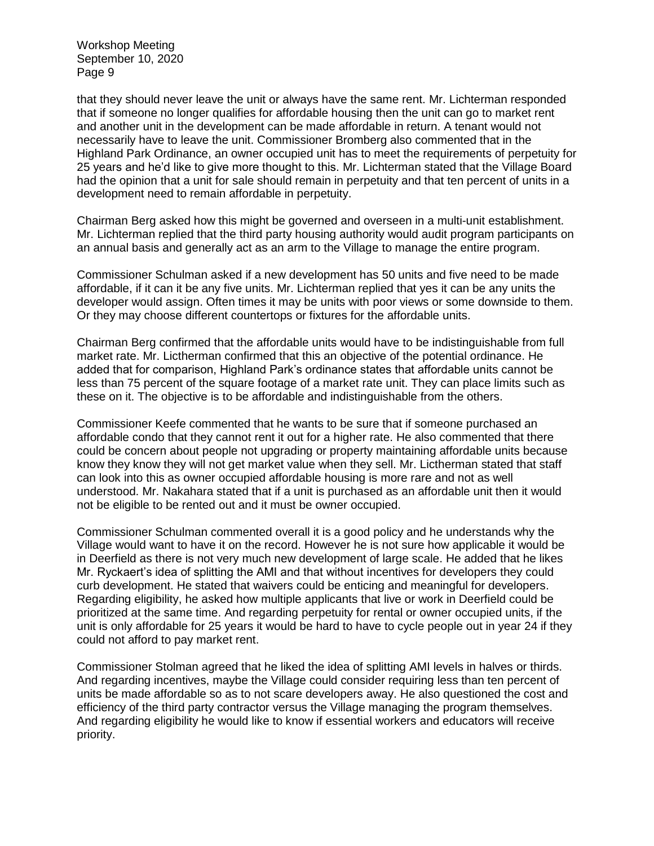that they should never leave the unit or always have the same rent. Mr. Lichterman responded that if someone no longer qualifies for affordable housing then the unit can go to market rent and another unit in the development can be made affordable in return. A tenant would not necessarily have to leave the unit. Commissioner Bromberg also commented that in the Highland Park Ordinance, an owner occupied unit has to meet the requirements of perpetuity for 25 years and he'd like to give more thought to this. Mr. Lichterman stated that the Village Board had the opinion that a unit for sale should remain in perpetuity and that ten percent of units in a development need to remain affordable in perpetuity.

Chairman Berg asked how this might be governed and overseen in a multi-unit establishment. Mr. Lichterman replied that the third party housing authority would audit program participants on an annual basis and generally act as an arm to the Village to manage the entire program.

Commissioner Schulman asked if a new development has 50 units and five need to be made affordable, if it can it be any five units. Mr. Lichterman replied that yes it can be any units the developer would assign. Often times it may be units with poor views or some downside to them. Or they may choose different countertops or fixtures for the affordable units.

Chairman Berg confirmed that the affordable units would have to be indistinguishable from full market rate. Mr. Lictherman confirmed that this an objective of the potential ordinance. He added that for comparison, Highland Park's ordinance states that affordable units cannot be less than 75 percent of the square footage of a market rate unit. They can place limits such as these on it. The objective is to be affordable and indistinguishable from the others.

Commissioner Keefe commented that he wants to be sure that if someone purchased an affordable condo that they cannot rent it out for a higher rate. He also commented that there could be concern about people not upgrading or property maintaining affordable units because know they know they will not get market value when they sell. Mr. Lictherman stated that staff can look into this as owner occupied affordable housing is more rare and not as well understood. Mr. Nakahara stated that if a unit is purchased as an affordable unit then it would not be eligible to be rented out and it must be owner occupied.

Commissioner Schulman commented overall it is a good policy and he understands why the Village would want to have it on the record. However he is not sure how applicable it would be in Deerfield as there is not very much new development of large scale. He added that he likes Mr. Ryckaert's idea of splitting the AMI and that without incentives for developers they could curb development. He stated that waivers could be enticing and meaningful for developers. Regarding eligibility, he asked how multiple applicants that live or work in Deerfield could be prioritized at the same time. And regarding perpetuity for rental or owner occupied units, if the unit is only affordable for 25 years it would be hard to have to cycle people out in year 24 if they could not afford to pay market rent.

Commissioner Stolman agreed that he liked the idea of splitting AMI levels in halves or thirds. And regarding incentives, maybe the Village could consider requiring less than ten percent of units be made affordable so as to not scare developers away. He also questioned the cost and efficiency of the third party contractor versus the Village managing the program themselves. And regarding eligibility he would like to know if essential workers and educators will receive priority.